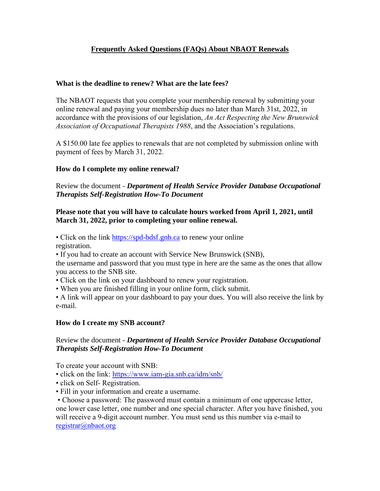# **Frequently Asked Questions (FAQs) About NBAOT Renewals**

# **What is the deadline to renew? What are the late fees?**

The NBAOT requests that you complete your membership renewal by submitting your online renewal and paying your membership dues no later than March 31st, 2022, in accordance with the provisions of our legislation, *An Act Respecting the New Brunswick Association of Occupational Therapists 1988*, and the Association's regulations.

A \$150.00 late fee applies to renewals that are not completed by submission online with payment of fees by March 31, 2022.

# **How do I complete my online renewal?**

Review the document - *Department of Health Service Provider Database Occupational Therapists Self-Registration How-To Document*

# **Please note that you will have to calculate hours worked from April 1, 2021, until March 31, 2022, prior to completing your online renewal.**

• Click on the link [https://spd-bdsf.gnb.ca](https://spd-bdsf.gnb.ca/) to renew your online registration.

• If you had to create an account with Service New Brunswick (SNB),

the username and password that you must type in here are the same as the ones that allow you access to the SNB site.

- Click on the link on your dashboard to renew your registration.
- When you are finished filling in your online form, click submit.

• A link will appear on your dashboard to pay your dues. You will also receive the link by e-mail.

## **How do I create my SNB account?**

# Review the document - *Department of Health Service Provider Database Occupational Therapists Self-Registration How-To Document*

To create your account with SNB:

- click on the link: <https://www.iam-gia.snb.ca/idm/snb/>
- click on Self- Registration.
- Fill in your information and create a username.

• Choose a password: The password must contain a minimum of one uppercase letter, one lower case letter, one number and one special character. After you have finished, you will receive a 9-digit account number. You must send us this number via e-mail to [registrar@nbaot.org](mailto:registrar@nbaot.org)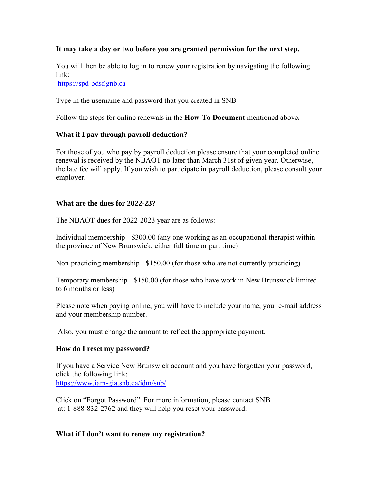## **It may take a day or two before you are granted permission for the next step.**

You will then be able to log in to renew your registration by navigating the following link:

[https://spd-bdsf.gnb.ca](https://spd-bdsf.gnb.ca/)

Type in the username and password that you created in SNB.

Follow the steps for online renewals in the **How-To Document** mentioned above**.**

# **What if I pay through payroll deduction?**

For those of you who pay by payroll deduction please ensure that your completed online renewal is received by the NBAOT no later than March 31st of given year. Otherwise, the late fee will apply. If you wish to participate in payroll deduction, please consult your employer.

## **What are the dues for 2022-23?**

The NBAOT dues for 2022-2023 year are as follows:

Individual membership - \$300.00 (any one working as an occupational therapist within the province of New Brunswick, either full time or part time)

Non-practicing membership - \$150.00 (for those who are not currently practicing)

Temporary membership - \$150.00 (for those who have work in New Brunswick limited to 6 months or less)

Please note when paying online, you will have to include your name, your e-mail address and your membership number.

Also, you must change the amount to reflect the appropriate payment.

## **How do I reset my password?**

If you have a Service New Brunswick account and you have forgotten your password, click the following link: <https://www.iam-gia.snb.ca/idm/snb/>

Click on "Forgot Password". For more information, please contact SNB at: 1-888-832-2762 and they will help you reset your password.

## **What if I don't want to renew my registration?**